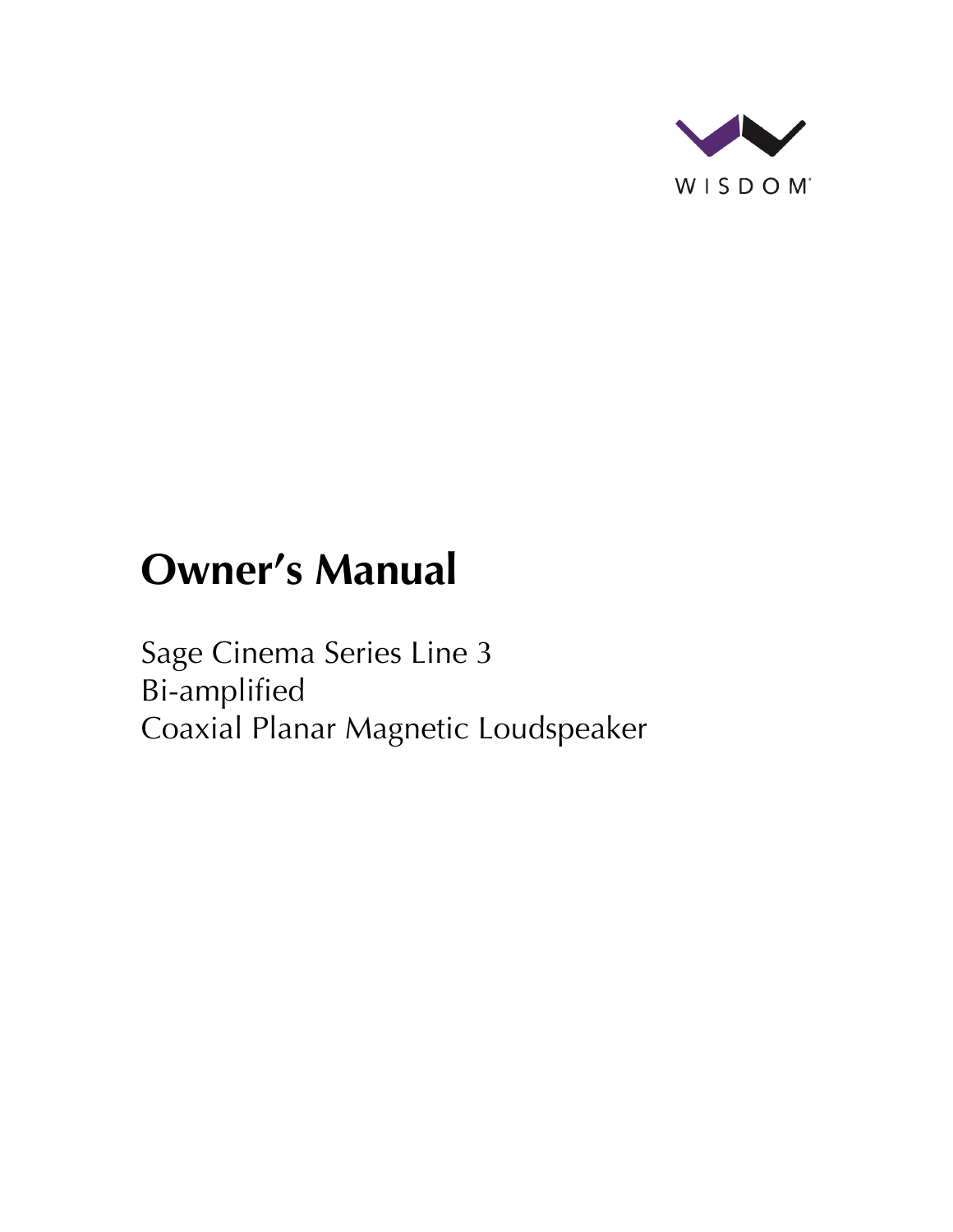

# **Owner's Manual**

Sage Cinema Series Line 3 Bi-amplified Coaxial Planar Magnetic Loudspeaker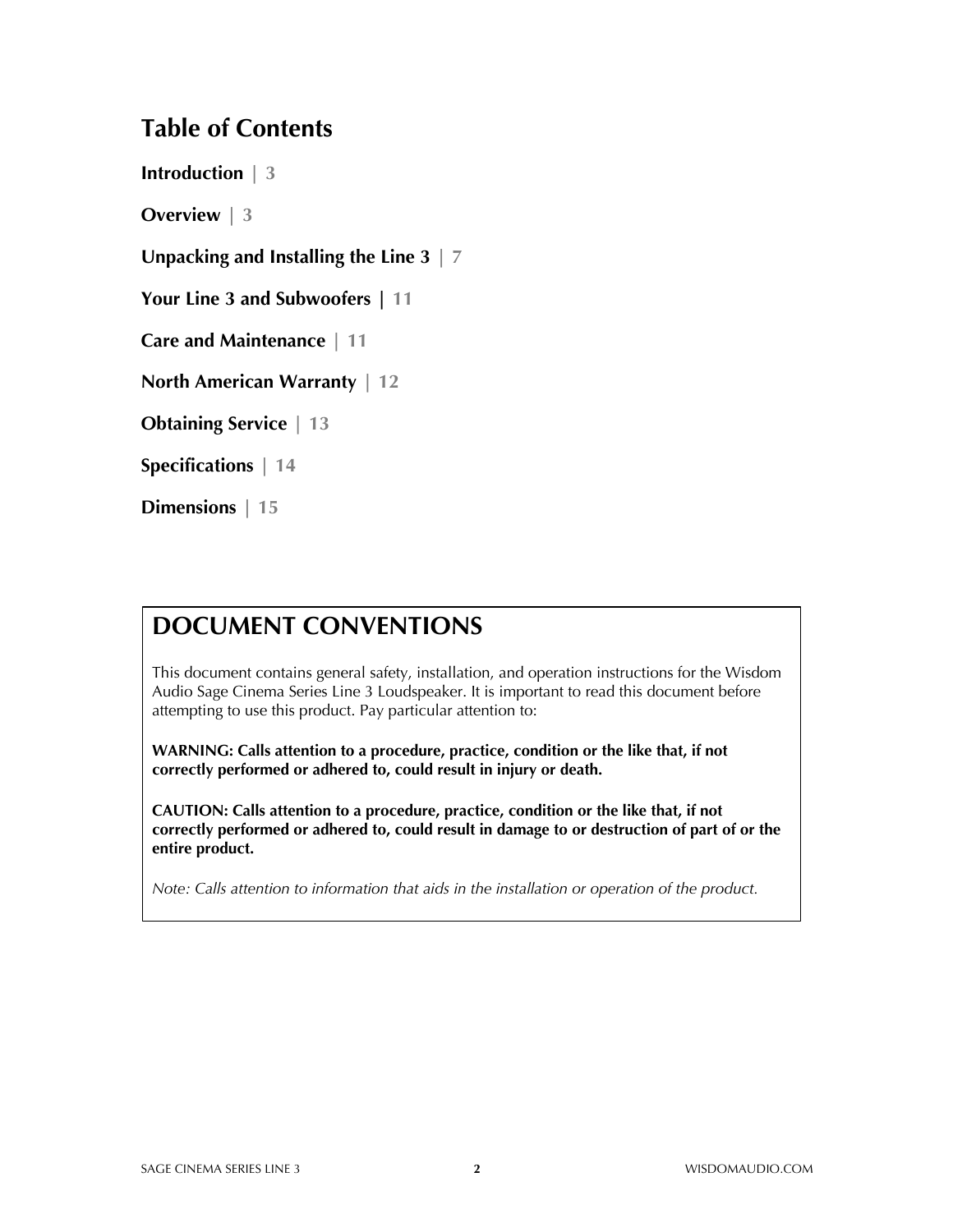### **Table of Contents**

**Introduction | 3**

**Overview | 3**

**Unpacking and Installing the Line 3 | 7**

**Your Line 3 and Subwoofers | 11**

**Care and Maintenance | 11**

**North American Warranty | 12**

**Obtaining Service | 13**

**Specifications | 14**

**Dimensions | 15**

### **DOCUMENT CONVENTIONS**

This document contains general safety, installation, and operation instructions for the Wisdom Audio Sage Cinema Series Line 3 Loudspeaker. It is important to read this document before attempting to use this product. Pay particular attention to:

**WARNING: Calls attention to a procedure, practice, condition or the like that, if not correctly performed or adhered to, could result in injury or death.** 

**CAUTION: Calls attention to a procedure, practice, condition or the like that, if not correctly performed or adhered to, could result in damage to or destruction of part of or the entire product.** 

*Note: Calls attention to information that aids in the installation or operation of the product.*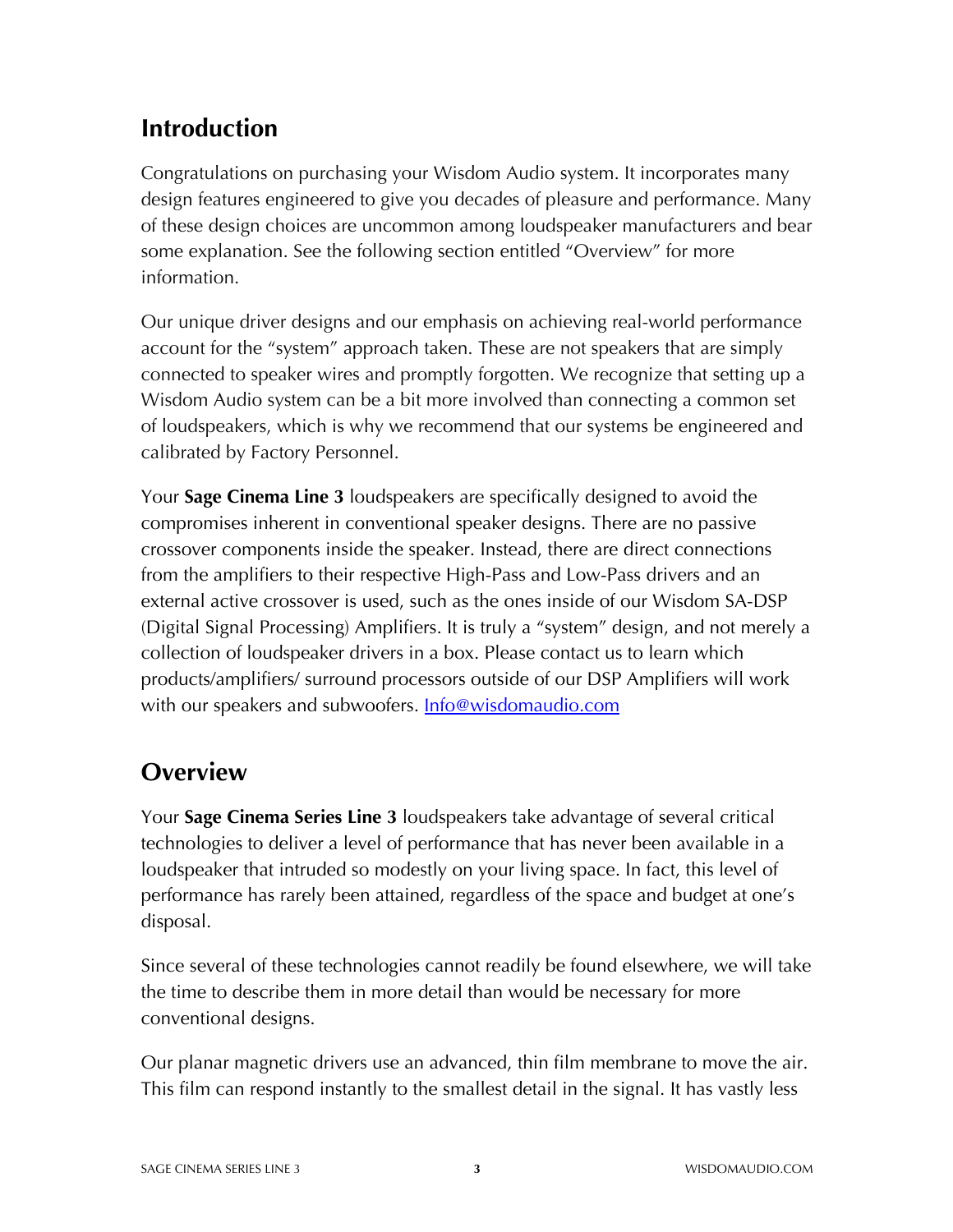# **Introduction**

Congratulations on purchasing your Wisdom Audio system. It incorporates many design features engineered to give you decades of pleasure and performance. Many of these design choices are uncommon among loudspeaker manufacturers and bear some explanation. See the following section entitled "Overview" for more information.

Our unique driver designs and our emphasis on achieving real-world performance account for the "system" approach taken. These are not speakers that are simply connected to speaker wires and promptly forgotten. We recognize that setting up a Wisdom Audio system can be a bit more involved than connecting a common set of loudspeakers, which is why we recommend that our systems be engineered and calibrated by Factory Personnel.

Your **Sage Cinema Line 3** loudspeakers are specifically designed to avoid the compromises inherent in conventional speaker designs. There are no passive crossover components inside the speaker. Instead, there are direct connections from the amplifiers to their respective High-Pass and Low-Pass drivers and an external active crossover is used, such as the ones inside of our Wisdom SA-DSP (Digital Signal Processing) Amplifiers. It is truly a "system" design, and not merely a collection of loudspeaker drivers in a box. Please contact us to learn which products/amplifiers/ surround processors outside of our DSP Amplifiers will work with our speakers and subwoofers. **Info@wisdomaudio.com** 

# **Overview**

Your **Sage Cinema Series Line 3** loudspeakers take advantage of several critical technologies to deliver a level of performance that has never been available in a loudspeaker that intruded so modestly on your living space. In fact, this level of performance has rarely been attained, regardless of the space and budget at one's disposal.

Since several of these technologies cannot readily be found elsewhere, we will take the time to describe them in more detail than would be necessary for more conventional designs.

Our planar magnetic drivers use an advanced, thin film membrane to move the air. This film can respond instantly to the smallest detail in the signal. It has vastly less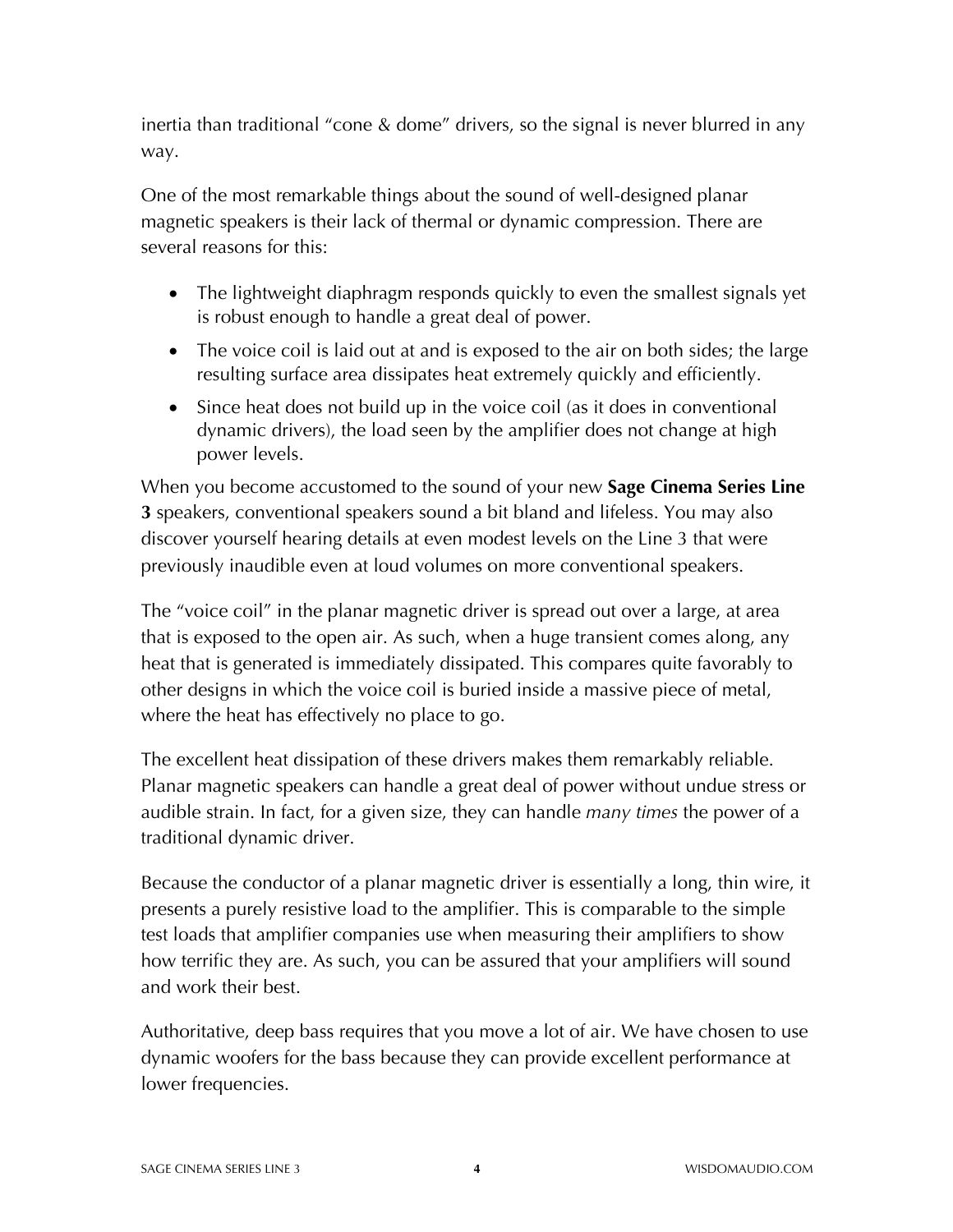inertia than traditional "cone & dome" drivers, so the signal is never blurred in any way.

One of the most remarkable things about the sound of well-designed planar magnetic speakers is their lack of thermal or dynamic compression. There are several reasons for this:

- The lightweight diaphragm responds quickly to even the smallest signals yet is robust enough to handle a great deal of power.
- The voice coil is laid out at and is exposed to the air on both sides; the large resulting surface area dissipates heat extremely quickly and efficiently.
- Since heat does not build up in the voice coil (as it does in conventional dynamic drivers), the load seen by the amplifier does not change at high power levels.

When you become accustomed to the sound of your new **Sage Cinema Series Line 3** speakers, conventional speakers sound a bit bland and lifeless. You may also discover yourself hearing details at even modest levels on the Line 3 that were previously inaudible even at loud volumes on more conventional speakers.

The "voice coil" in the planar magnetic driver is spread out over a large, at area that is exposed to the open air. As such, when a huge transient comes along, any heat that is generated is immediately dissipated. This compares quite favorably to other designs in which the voice coil is buried inside a massive piece of metal, where the heat has effectively no place to go.

The excellent heat dissipation of these drivers makes them remarkably reliable. Planar magnetic speakers can handle a great deal of power without undue stress or audible strain. In fact, for a given size, they can handle *many times* the power of a traditional dynamic driver.

Because the conductor of a planar magnetic driver is essentially a long, thin wire, it presents a purely resistive load to the amplifier. This is comparable to the simple test loads that amplifier companies use when measuring their amplifiers to show how terrific they are. As such, you can be assured that your amplifiers will sound and work their best.

Authoritative, deep bass requires that you move a lot of air. We have chosen to use dynamic woofers for the bass because they can provide excellent performance at lower frequencies.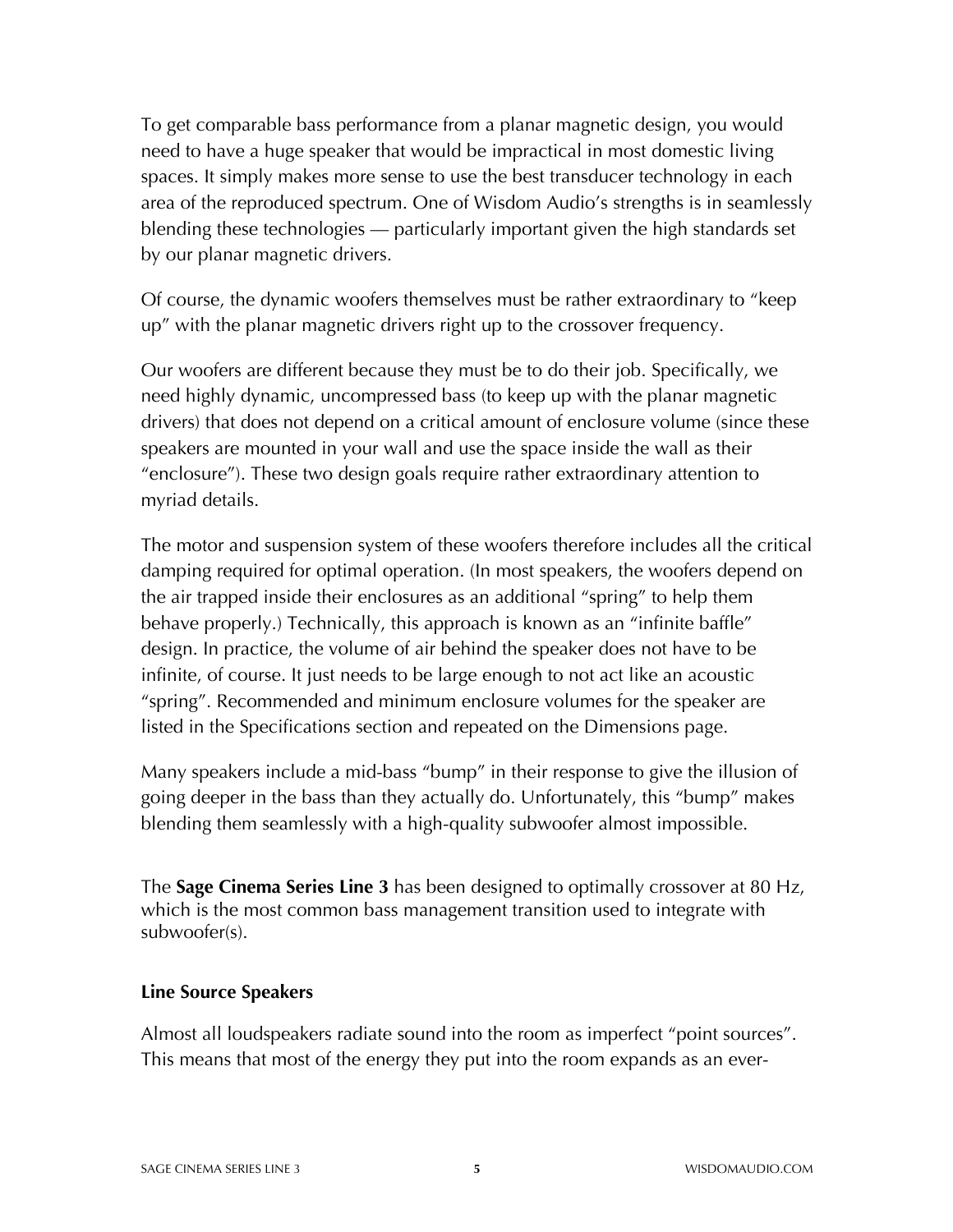To get comparable bass performance from a planar magnetic design, you would need to have a huge speaker that would be impractical in most domestic living spaces. It simply makes more sense to use the best transducer technology in each area of the reproduced spectrum. One of Wisdom Audio's strengths is in seamlessly blending these technologies — particularly important given the high standards set by our planar magnetic drivers.

Of course, the dynamic woofers themselves must be rather extraordinary to "keep up" with the planar magnetic drivers right up to the crossover frequency.

Our woofers are different because they must be to do their job. Specifically, we need highly dynamic, uncompressed bass (to keep up with the planar magnetic drivers) that does not depend on a critical amount of enclosure volume (since these speakers are mounted in your wall and use the space inside the wall as their "enclosure"). These two design goals require rather extraordinary attention to myriad details.

The motor and suspension system of these woofers therefore includes all the critical damping required for optimal operation. (In most speakers, the woofers depend on the air trapped inside their enclosures as an additional "spring" to help them behave properly.) Technically, this approach is known as an "infinite baffle" design. In practice, the volume of air behind the speaker does not have to be infinite, of course. It just needs to be large enough to not act like an acoustic "spring". Recommended and minimum enclosure volumes for the speaker are listed in the Specifications section and repeated on the Dimensions page.

Many speakers include a mid-bass "bump" in their response to give the illusion of going deeper in the bass than they actually do. Unfortunately, this "bump" makes blending them seamlessly with a high-quality subwoofer almost impossible.

The **Sage Cinema Series Line 3** has been designed to optimally crossover at 80 Hz, which is the most common bass management transition used to integrate with subwoofer(s).

#### **Line Source Speakers**

Almost all loudspeakers radiate sound into the room as imperfect "point sources". This means that most of the energy they put into the room expands as an ever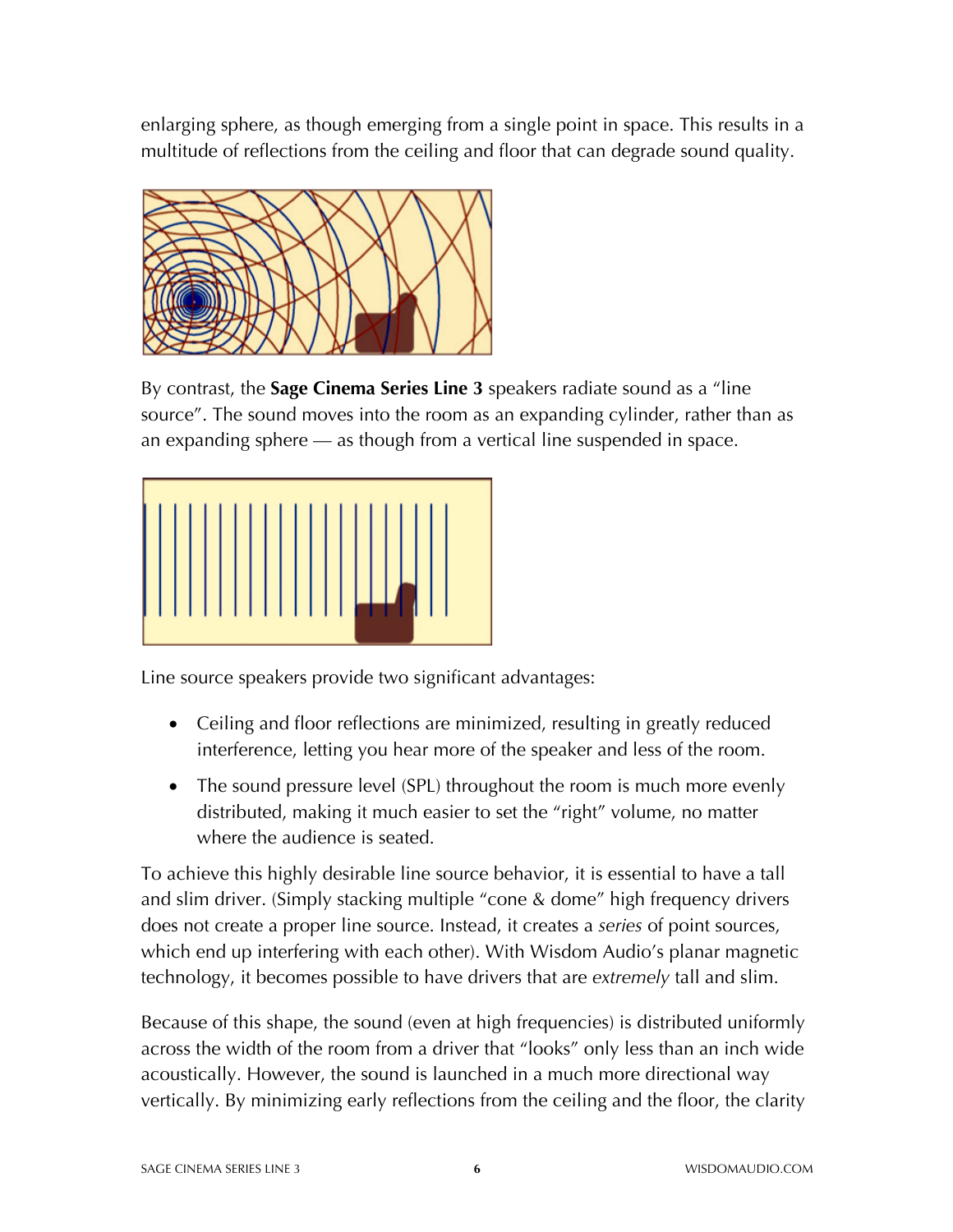enlarging sphere, as though emerging from a single point in space. This results in a multitude of reflections from the ceiling and floor that can degrade sound quality.



By contrast, the **Sage Cinema Series Line 3** speakers radiate sound as a "line source". The sound moves into the room as an expanding cylinder, rather than as an expanding sphere — as though from a vertical line suspended in space.



Line source speakers provide two significant advantages:

- Ceiling and floor reflections are minimized, resulting in greatly reduced interference, letting you hear more of the speaker and less of the room.
- The sound pressure level (SPL) throughout the room is much more evenly distributed, making it much easier to set the "right" volume, no matter where the audience is seated.

To achieve this highly desirable line source behavior, it is essential to have a tall and slim driver. (Simply stacking multiple "cone & dome" high frequency drivers does not create a proper line source. Instead, it creates a *series* of point sources, which end up interfering with each other). With Wisdom Audio's planar magnetic technology, it becomes possible to have drivers that are *extremely* tall and slim.

Because of this shape, the sound (even at high frequencies) is distributed uniformly across the width of the room from a driver that "looks" only less than an inch wide acoustically. However, the sound is launched in a much more directional way vertically. By minimizing early reflections from the ceiling and the floor, the clarity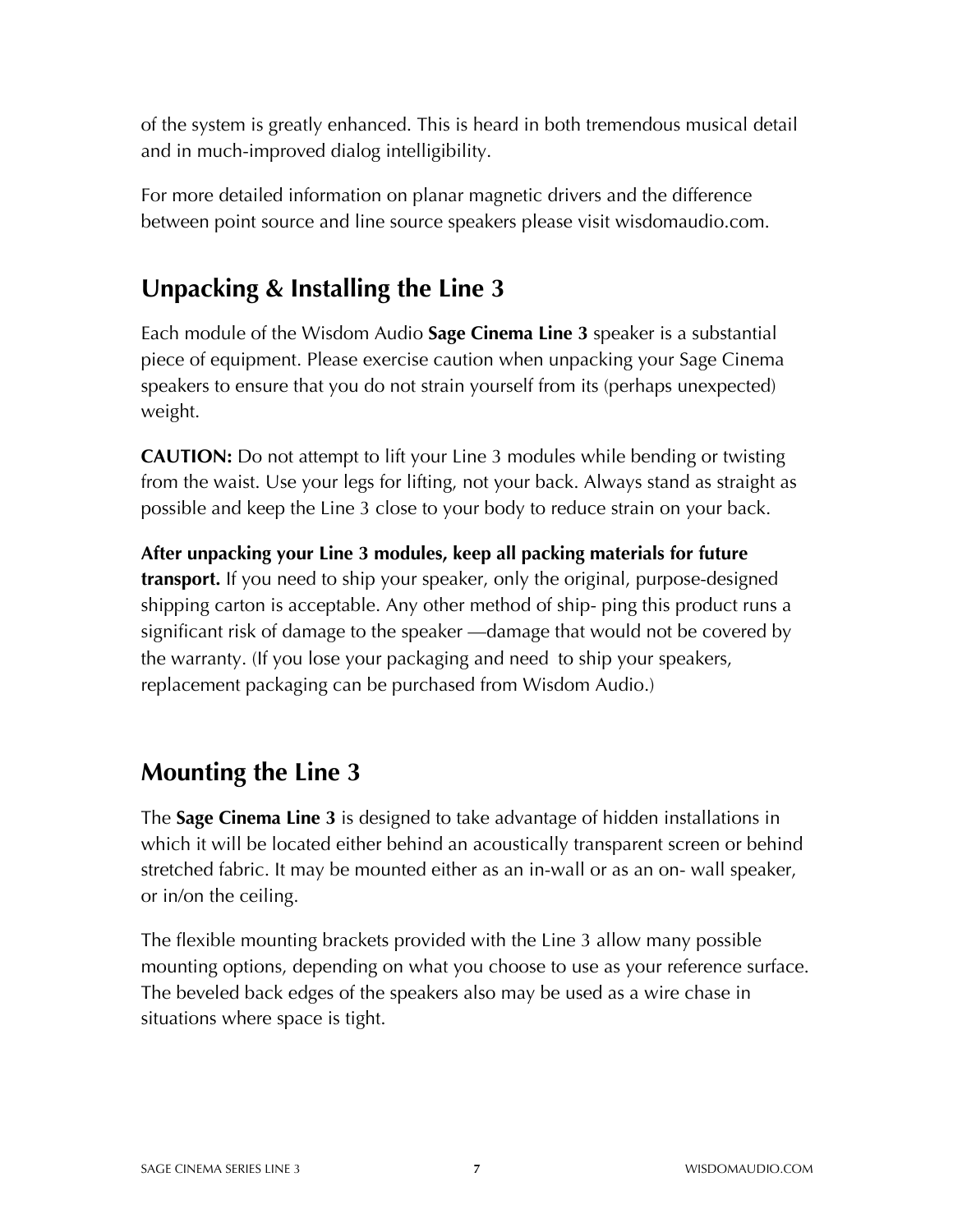of the system is greatly enhanced. This is heard in both tremendous musical detail and in much-improved dialog intelligibility.

For more detailed information on planar magnetic drivers and the difference between point source and line source speakers please visit wisdomaudio.com.

# **Unpacking & Installing the Line 3**

Each module of the Wisdom Audio **Sage Cinema Line 3** speaker is a substantial piece of equipment. Please exercise caution when unpacking your Sage Cinema speakers to ensure that you do not strain yourself from its (perhaps unexpected) weight.

**CAUTION:** Do not attempt to lift your Line 3 modules while bending or twisting from the waist. Use your legs for lifting, not your back. Always stand as straight as possible and keep the Line 3 close to your body to reduce strain on your back.

**After unpacking your Line 3 modules, keep all packing materials for future transport.** If you need to ship your speaker, only the original, purpose-designed shipping carton is acceptable. Any other method of ship- ping this product runs a significant risk of damage to the speaker —damage that would not be covered by the warranty. (If you lose your packaging and need to ship your speakers, replacement packaging can be purchased from Wisdom Audio.)

# **Mounting the Line 3**

The **Sage Cinema Line 3** is designed to take advantage of hidden installations in which it will be located either behind an acoustically transparent screen or behind stretched fabric. It may be mounted either as an in-wall or as an on- wall speaker, or in/on the ceiling.

The flexible mounting brackets provided with the Line 3 allow many possible mounting options, depending on what you choose to use as your reference surface. The beveled back edges of the speakers also may be used as a wire chase in situations where space is tight.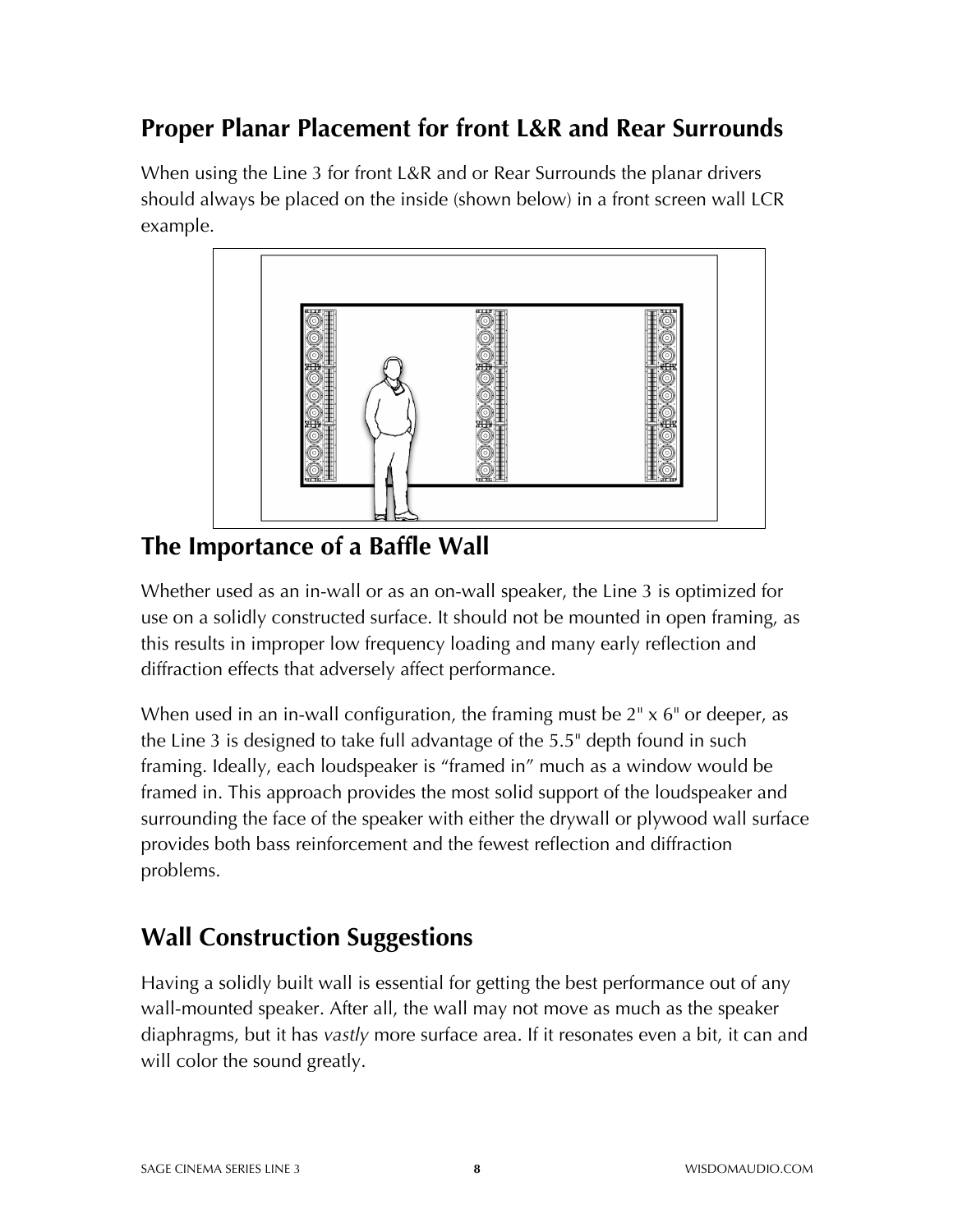### **Proper Planar Placement for front L&R and Rear Surrounds**

When using the Line 3 for front L&R and or Rear Surrounds the planar drivers should always be placed on the inside (shown below) in a front screen wall LCR example.



### **The Importance of a Baffle Wall**

Whether used as an in-wall or as an on-wall speaker, the Line 3 is optimized for use on a solidly constructed surface. It should not be mounted in open framing, as this results in improper low frequency loading and many early reflection and diffraction effects that adversely affect performance.

When used in an in-wall configuration, the framing must be 2<sup>"</sup> x 6" or deeper, as the Line 3 is designed to take full advantage of the 5.5" depth found in such framing. Ideally, each loudspeaker is "framed in" much as a window would be framed in. This approach provides the most solid support of the loudspeaker and surrounding the face of the speaker with either the drywall or plywood wall surface provides both bass reinforcement and the fewest reflection and diffraction problems.

# **Wall Construction Suggestions**

Having a solidly built wall is essential for getting the best performance out of any wall-mounted speaker. After all, the wall may not move as much as the speaker diaphragms, but it has *vastly* more surface area. If it resonates even a bit, it can and will color the sound greatly.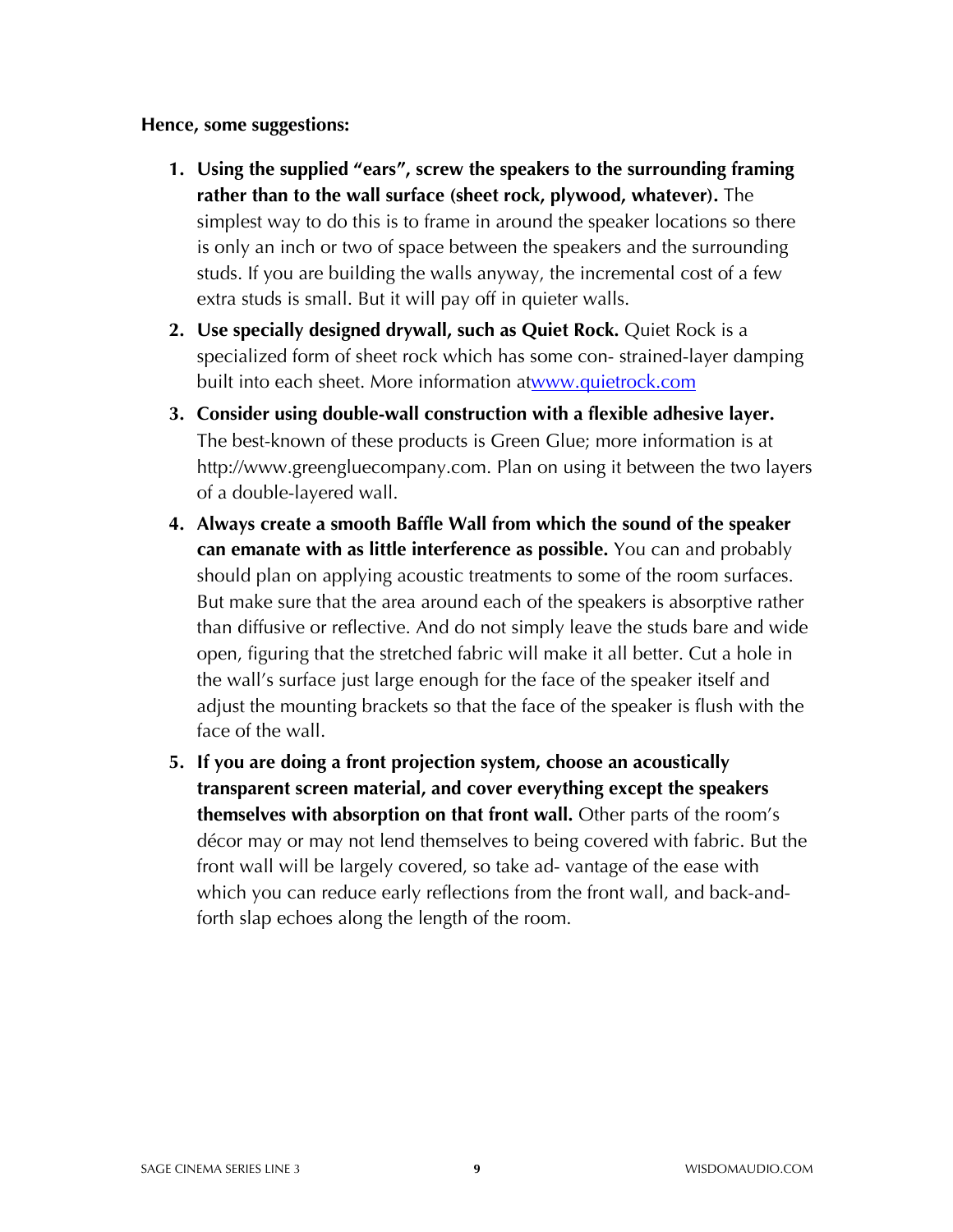#### **Hence, some suggestions:**

- **1. Using the supplied "ears", screw the speakers to the surrounding framing rather than to the wall surface (sheet rock, plywood, whatever).** The simplest way to do this is to frame in around the speaker locations so there is only an inch or two of space between the speakers and the surrounding studs. If you are building the walls anyway, the incremental cost of a few extra studs is small. But it will pay off in quieter walls.
- **2. Use specially designed drywall, such as Quiet Rock.** Quiet Rock is a specialized form of sheet rock which has some con- strained-layer damping built into each sheet. More information atwww.quietrock.com
- **3. Consider using double-wall construction with a flexible adhesive layer.** The best-known of these products is Green Glue; more information is at http://www.greengluecompany.com. Plan on using it between the two layers of a double-layered wall.
- **4. Always create a smooth Baffle Wall from which the sound of the speaker can emanate with as little interference as possible.** You can and probably should plan on applying acoustic treatments to some of the room surfaces. But make sure that the area around each of the speakers is absorptive rather than diffusive or reflective. And do not simply leave the studs bare and wide open, figuring that the stretched fabric will make it all better. Cut a hole in the wall's surface just large enough for the face of the speaker itself and adjust the mounting brackets so that the face of the speaker is flush with the face of the wall.
- **5. If you are doing a front projection system, choose an acoustically transparent screen material, and cover everything except the speakers themselves with absorption on that front wall.** Other parts of the room's décor may or may not lend themselves to being covered with fabric. But the front wall will be largely covered, so take ad- vantage of the ease with which you can reduce early reflections from the front wall, and back-andforth slap echoes along the length of the room.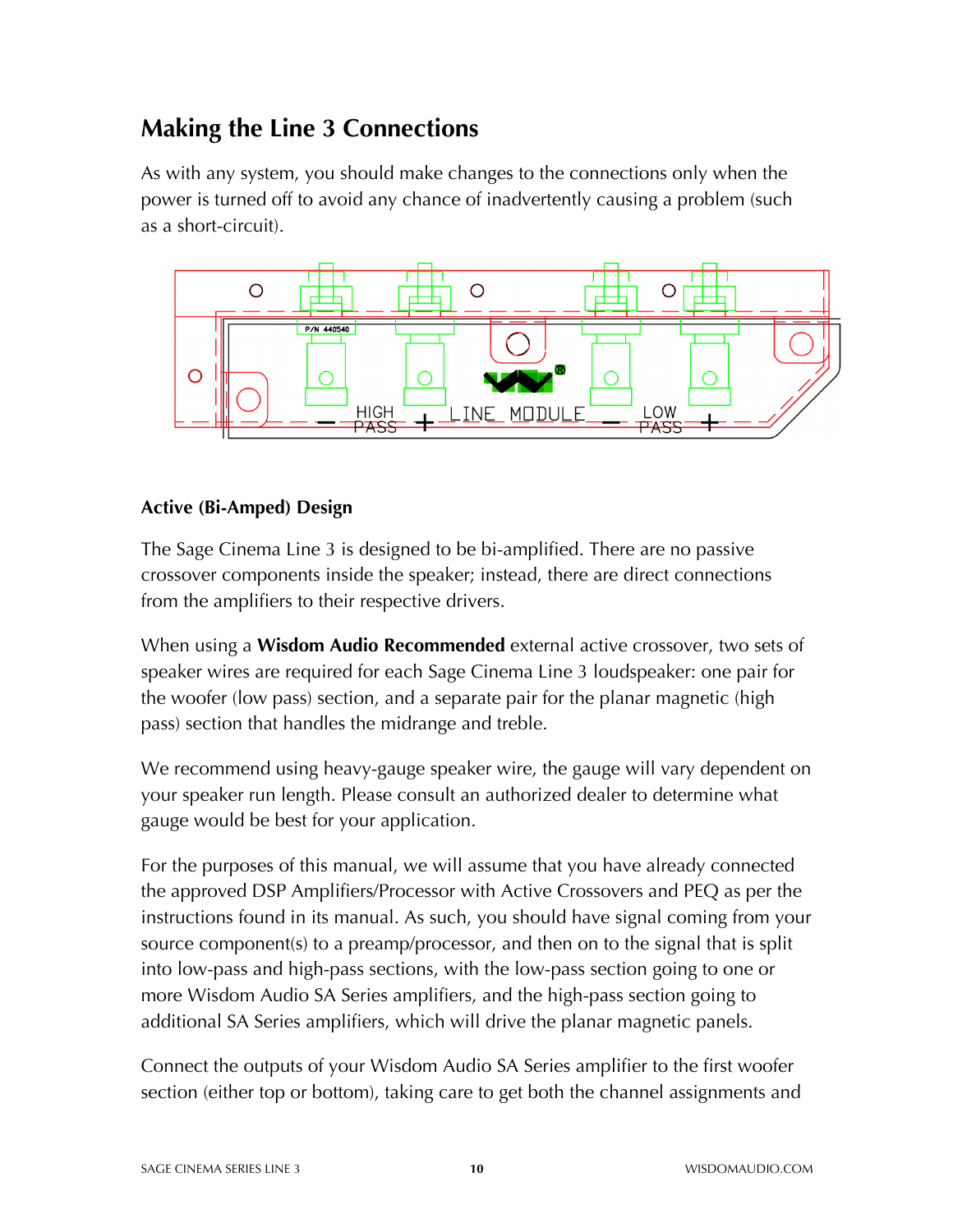# **Making the Line 3 Connections**

As with any system, you should make changes to the connections only when the power is turned off to avoid any chance of inadvertently causing a problem (such as a short-circuit).



### **Active (Bi-Amped) Design**

The Sage Cinema Line 3 is designed to be bi-amplified. There are no passive crossover components inside the speaker; instead, there are direct connections from the amplifiers to their respective drivers.

When using a **Wisdom Audio Recommended** external active crossover, two sets of speaker wires are required for each Sage Cinema Line 3 loudspeaker: one pair for the woofer (low pass) section, and a separate pair for the planar magnetic (high pass) section that handles the midrange and treble.

We recommend using heavy-gauge speaker wire, the gauge will vary dependent on your speaker run length. Please consult an authorized dealer to determine what gauge would be best for your application.

For the purposes of this manual, we will assume that you have already connected the approved DSP Amplifiers/Processor with Active Crossovers and PEQ as per the instructions found in its manual. As such, you should have signal coming from your source component(s) to a preamp/processor, and then on to the signal that is split into low-pass and high-pass sections, with the low-pass section going to one or more Wisdom Audio SA Series amplifiers, and the high-pass section going to additional SA Series amplifiers, which will drive the planar magnetic panels.

Connect the outputs of your Wisdom Audio SA Series amplifier to the first woofer section (either top or bottom), taking care to get both the channel assignments and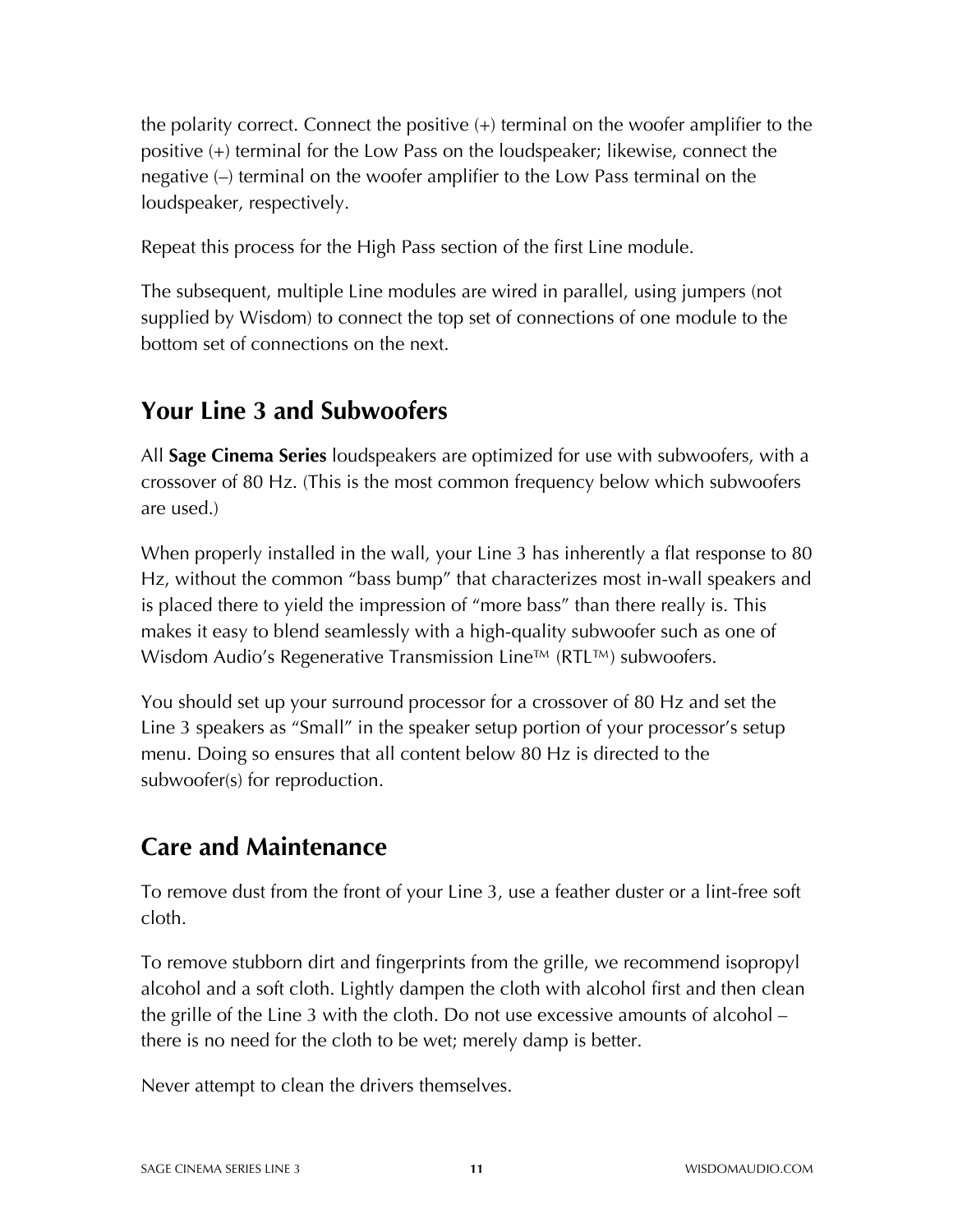the polarity correct. Connect the positive (+) terminal on the woofer amplifier to the positive (+) terminal for the Low Pass on the loudspeaker; likewise, connect the negative (–) terminal on the woofer amplifier to the Low Pass terminal on the loudspeaker, respectively.

Repeat this process for the High Pass section of the first Line module.

The subsequent, multiple Line modules are wired in parallel, using jumpers (not supplied by Wisdom) to connect the top set of connections of one module to the bottom set of connections on the next.

### **Your Line 3 and Subwoofers**

All **Sage Cinema Series** loudspeakers are optimized for use with subwoofers, with a crossover of 80 Hz. (This is the most common frequency below which subwoofers are used.)

When properly installed in the wall, your Line 3 has inherently a flat response to 80 Hz, without the common "bass bump" that characterizes most in-wall speakers and is placed there to yield the impression of "more bass" than there really is. This makes it easy to blend seamlessly with a high-quality subwoofer such as one of Wisdom Audio's Regenerative Transmission Line™ (RTL™) subwoofers.

You should set up your surround processor for a crossover of 80 Hz and set the Line 3 speakers as "Small" in the speaker setup portion of your processor's setup menu. Doing so ensures that all content below 80 Hz is directed to the subwoofer(s) for reproduction.

# **Care and Maintenance**

To remove dust from the front of your Line 3, use a feather duster or a lint-free soft cloth.

To remove stubborn dirt and fingerprints from the grille, we recommend isopropyl alcohol and a soft cloth. Lightly dampen the cloth with alcohol first and then clean the grille of the Line 3 with the cloth. Do not use excessive amounts of alcohol – there is no need for the cloth to be wet; merely damp is better.

Never attempt to clean the drivers themselves.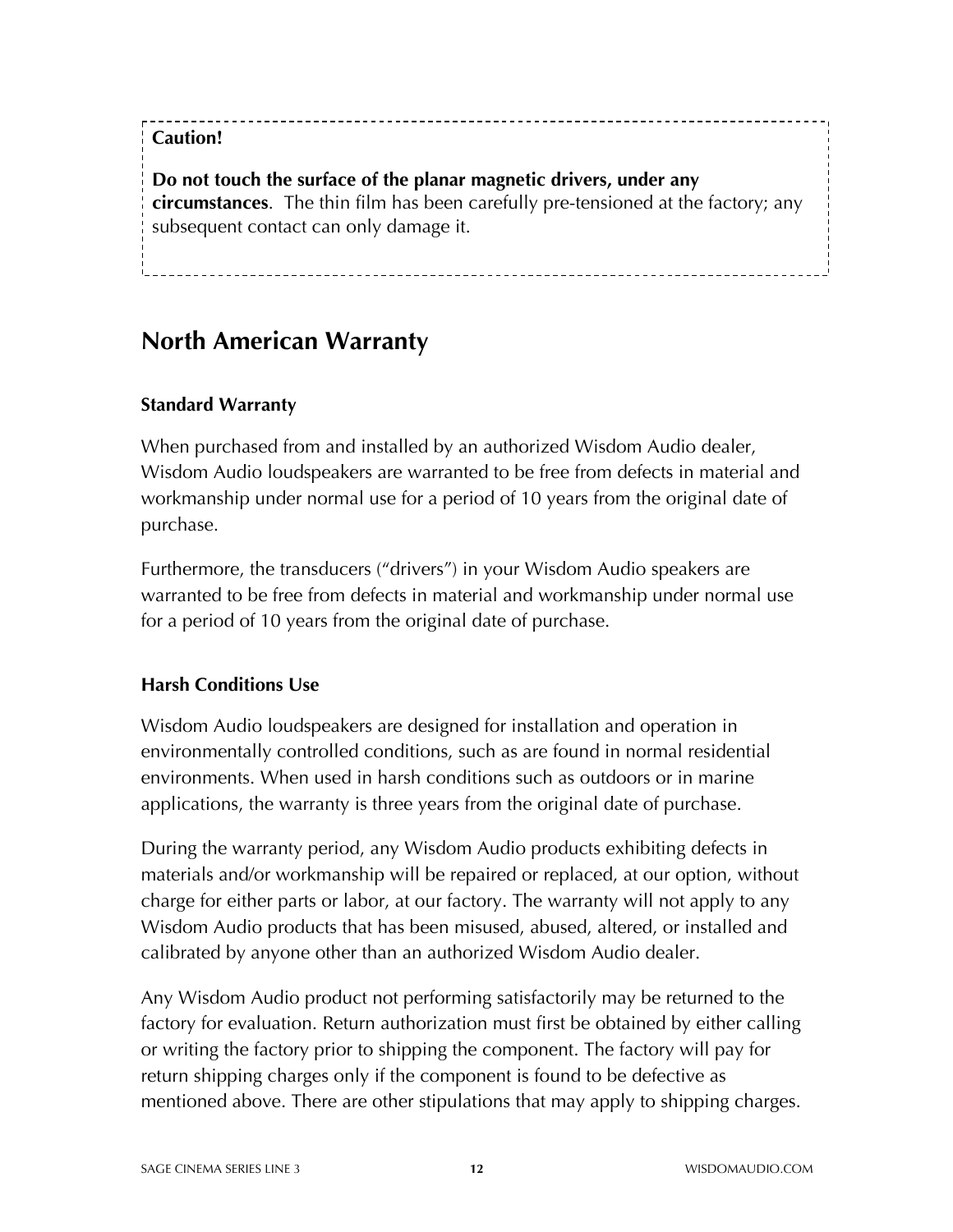### **Caution!**

**Do not touch the surface of the planar magnetic drivers, under any circumstances**. The thin film has been carefully pre-tensioned at the factory; any subsequent contact can only damage it.

### **North American Warranty**

### **Standard Warranty**

When purchased from and installed by an authorized Wisdom Audio dealer, Wisdom Audio loudspeakers are warranted to be free from defects in material and workmanship under normal use for a period of 10 years from the original date of purchase.

Furthermore, the transducers ("drivers") in your Wisdom Audio speakers are warranted to be free from defects in material and workmanship under normal use for a period of 10 years from the original date of purchase.

#### **Harsh Conditions Use**

Wisdom Audio loudspeakers are designed for installation and operation in environmentally controlled conditions, such as are found in normal residential environments. When used in harsh conditions such as outdoors or in marine applications, the warranty is three years from the original date of purchase.

During the warranty period, any Wisdom Audio products exhibiting defects in materials and/or workmanship will be repaired or replaced, at our option, without charge for either parts or labor, at our factory. The warranty will not apply to any Wisdom Audio products that has been misused, abused, altered, or installed and calibrated by anyone other than an authorized Wisdom Audio dealer.

Any Wisdom Audio product not performing satisfactorily may be returned to the factory for evaluation. Return authorization must first be obtained by either calling or writing the factory prior to shipping the component. The factory will pay for return shipping charges only if the component is found to be defective as mentioned above. There are other stipulations that may apply to shipping charges.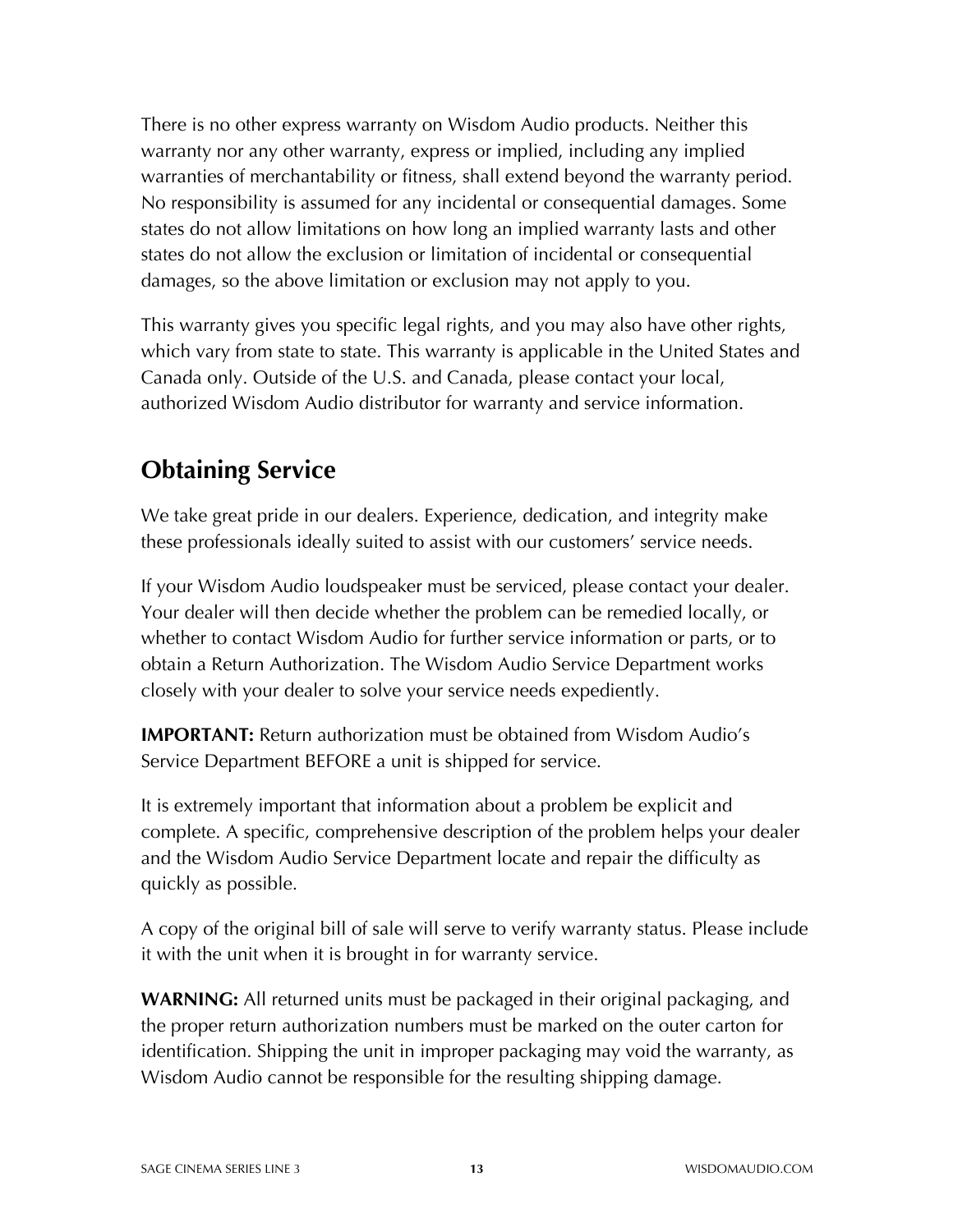There is no other express warranty on Wisdom Audio products. Neither this warranty nor any other warranty, express or implied, including any implied warranties of merchantability or fitness, shall extend beyond the warranty period. No responsibility is assumed for any incidental or consequential damages. Some states do not allow limitations on how long an implied warranty lasts and other states do not allow the exclusion or limitation of incidental or consequential damages, so the above limitation or exclusion may not apply to you.

This warranty gives you specific legal rights, and you may also have other rights, which vary from state to state. This warranty is applicable in the United States and Canada only. Outside of the U.S. and Canada, please contact your local, authorized Wisdom Audio distributor for warranty and service information.

# **Obtaining Service**

We take great pride in our dealers. Experience, dedication, and integrity make these professionals ideally suited to assist with our customers' service needs.

If your Wisdom Audio loudspeaker must be serviced, please contact your dealer. Your dealer will then decide whether the problem can be remedied locally, or whether to contact Wisdom Audio for further service information or parts, or to obtain a Return Authorization. The Wisdom Audio Service Department works closely with your dealer to solve your service needs expediently.

**IMPORTANT:** Return authorization must be obtained from Wisdom Audio's Service Department BEFORE a unit is shipped for service.

It is extremely important that information about a problem be explicit and complete. A specific, comprehensive description of the problem helps your dealer and the Wisdom Audio Service Department locate and repair the difficulty as quickly as possible.

A copy of the original bill of sale will serve to verify warranty status. Please include it with the unit when it is brought in for warranty service.

**WARNING:** All returned units must be packaged in their original packaging, and the proper return authorization numbers must be marked on the outer carton for identification. Shipping the unit in improper packaging may void the warranty, as Wisdom Audio cannot be responsible for the resulting shipping damage.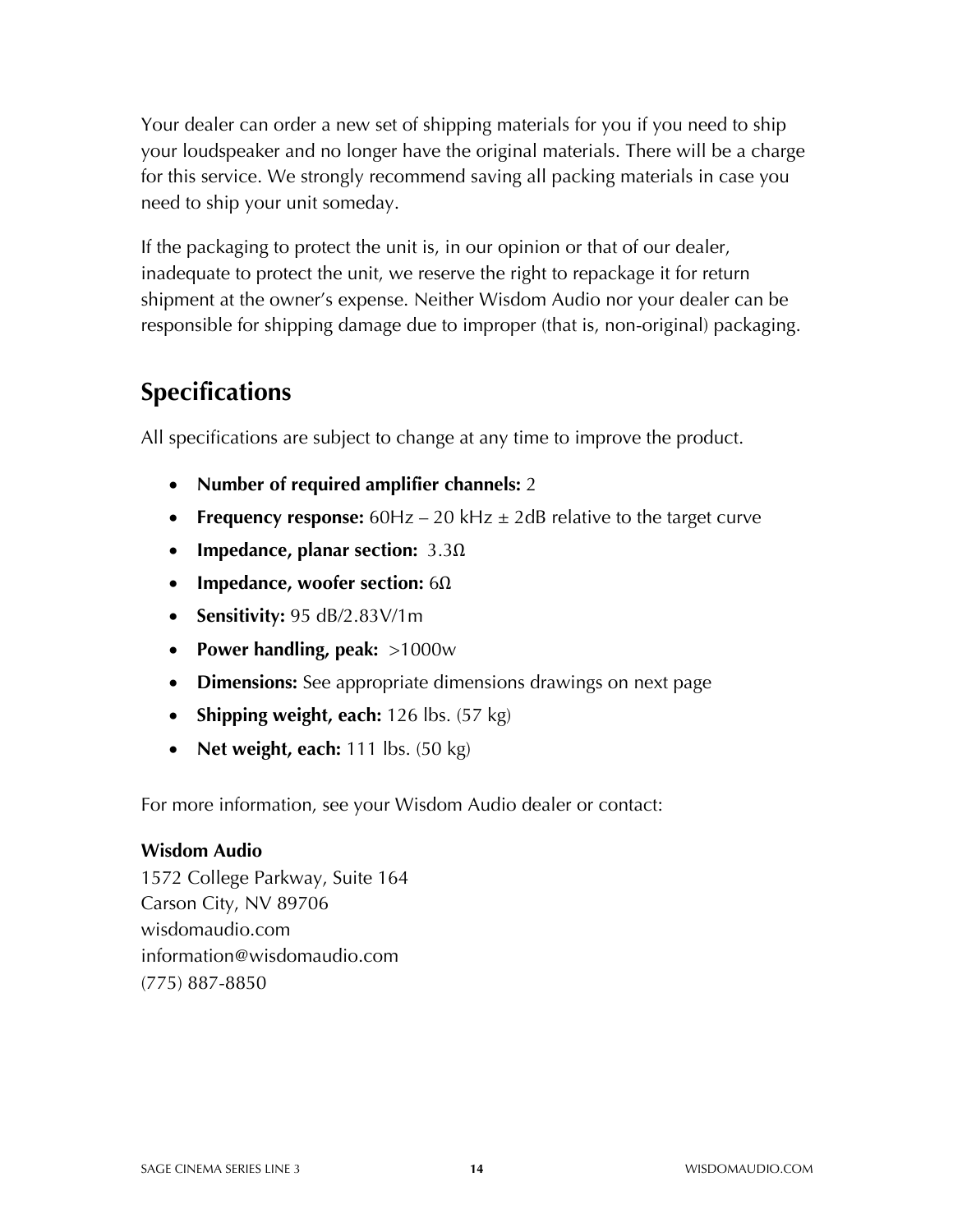Your dealer can order a new set of shipping materials for you if you need to ship your loudspeaker and no longer have the original materials. There will be a charge for this service. We strongly recommend saving all packing materials in case you need to ship your unit someday.

If the packaging to protect the unit is, in our opinion or that of our dealer, inadequate to protect the unit, we reserve the right to repackage it for return shipment at the owner's expense. Neither Wisdom Audio nor your dealer can be responsible for shipping damage due to improper (that is, non-original) packaging.

### **Specifications**

All specifications are subject to change at any time to improve the product.

- **Number of required amplifier channels:** 2
- **Frequency response:**  $60Hz 20kHz \pm 2dB$  relative to the target curve
- **Impedance, planar section:** 3.3Ω
- **Impedance, woofer section:** 6Ω
- **Sensitivity:** 95 dB/2.83V/1m
- **Power handling, peak:** >1000w
- **Dimensions:** See appropriate dimensions drawings on next page
- **Shipping weight, each:** 126 lbs. (57 kg)
- **Net weight, each:** 111 lbs. (50 kg)

For more information, see your Wisdom Audio dealer or contact:

#### **Wisdom Audio**

1572 College Parkway, Suite 164 Carson City, NV 89706 wisdomaudio.com information@wisdomaudio.com (775) 887-8850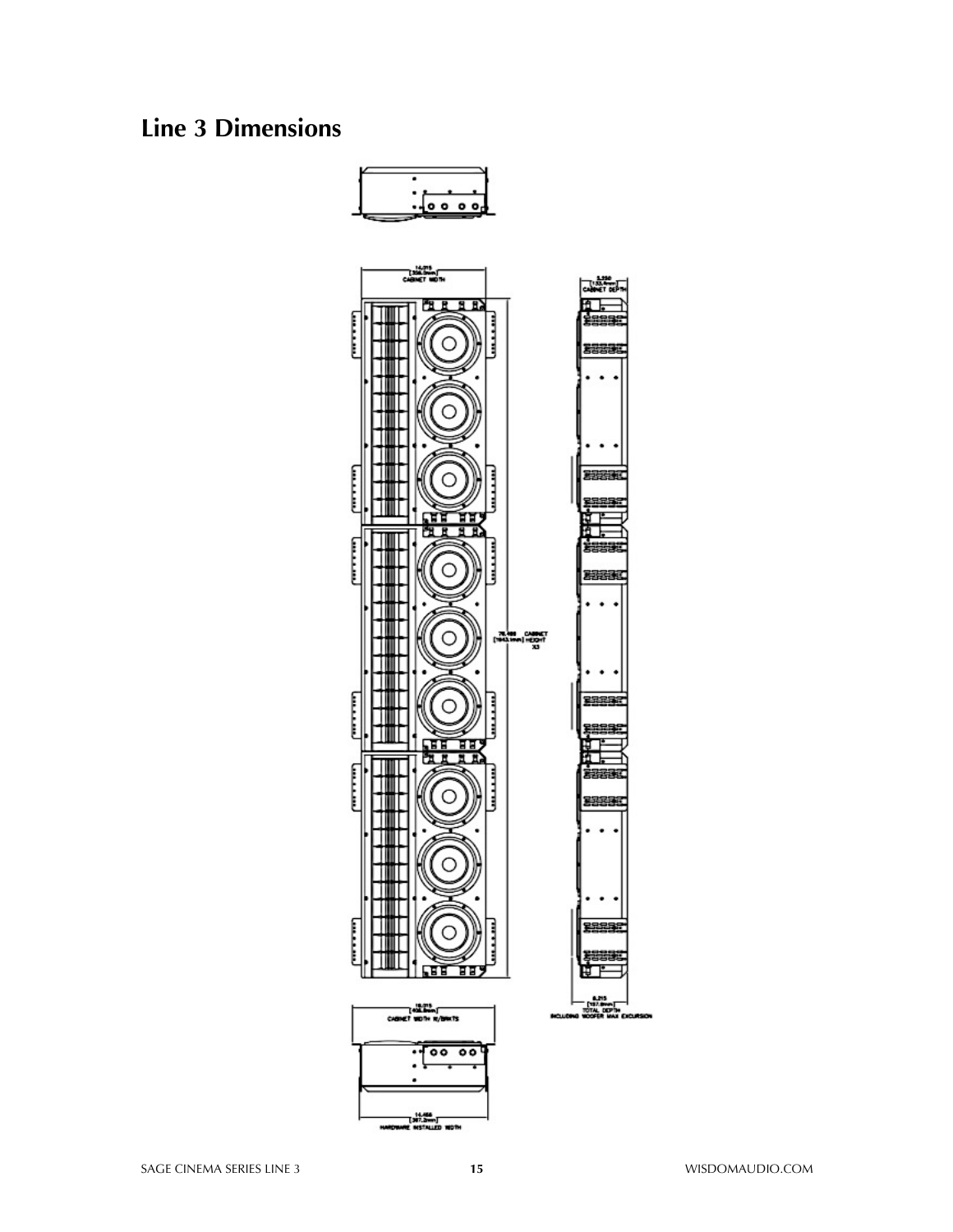### **Line 3 Dimensions**